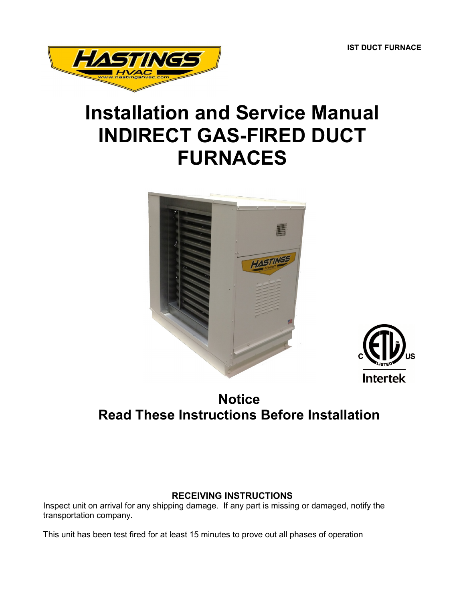**IST DUCT FURNACE**



# **Installation and Service Manual INDIRECT GAS-FIRED DUCT FURNACES**





## **Notice Read These Instructions Before Installation**

## **RECEIVING INSTRUCTIONS**

Inspect unit on arrival for any shipping damage. If any part is missing or damaged, notify the transportation company.

This unit has been test fired for at least 15 minutes to prove out all phases of operation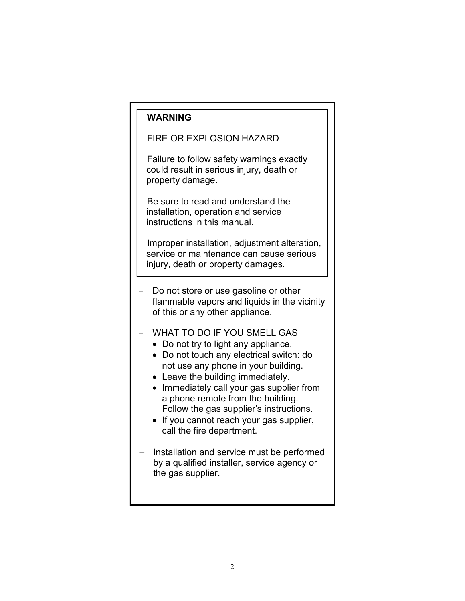## **WARNING**

#### FIRE OR EXPLOSION HAZARD

Failure to follow safety warnings exactly could result in serious injury, death or property damage.

Be sure to read and understand the installation, operation and service instructions in this manual.

Improper installation, adjustment alteration, service or maintenance can cause serious injury, death or property damages.

- Do not store or use gasoline or other flammable vapors and liquids in the vicinity of this or any other appliance.
- WHAT TO DO IF YOU SMELL GAS
	- Do not try to light any appliance.
	- Do not touch any electrical switch: do not use any phone in your building.
	- Leave the building immediately.
	- Immediately call your gas supplier from a phone remote from the building. Follow the gas supplier's instructions.
	- If you cannot reach your gas supplier, call the fire department.
- Installation and service must be performed by a qualified installer, service agency or the gas supplier.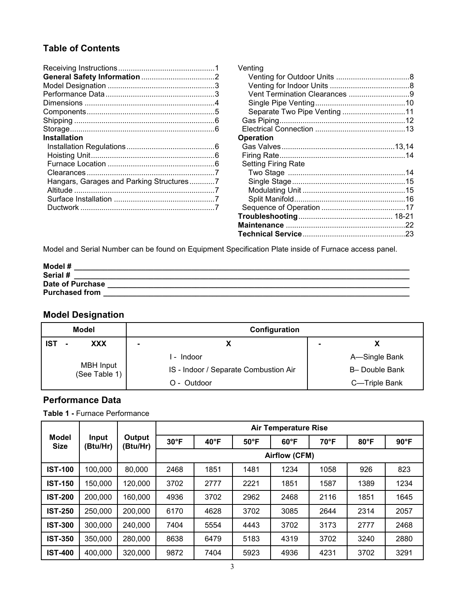## **Table of Contents**

| <b>Installation</b>                      |  |
|------------------------------------------|--|
|                                          |  |
|                                          |  |
|                                          |  |
|                                          |  |
| Hangars, Garages and Parking Structures7 |  |
|                                          |  |
|                                          |  |
|                                          |  |
|                                          |  |

| Venting                    |  |
|----------------------------|--|
|                            |  |
|                            |  |
|                            |  |
|                            |  |
|                            |  |
|                            |  |
| <b>Operation</b>           |  |
|                            |  |
|                            |  |
| <b>Setting Firing Rate</b> |  |
|                            |  |
|                            |  |
|                            |  |
|                            |  |
|                            |  |
|                            |  |
|                            |  |
|                            |  |

Model and Serial Number can be found on Equipment Specification Plate inside of Furnace access panel.

| Model #               |  |
|-----------------------|--|
| Serial #              |  |
| Date of Purchase      |  |
| <b>Purchased from</b> |  |

## **Model Designation**

| <b>Model</b>                      | Configuration                         |  |                |
|-----------------------------------|---------------------------------------|--|----------------|
| <b>XXX</b><br><b>IST</b>          |                                       |  |                |
|                                   | - Indoor                              |  | A-Single Bank  |
| <b>MBH</b> Input<br>(See Table 1) | IS - Indoor / Separate Combustion Air |  | B- Double Bank |
|                                   | O - Outdoor                           |  | C-Triple Bank  |

#### **Performance Data**

**Table 1 -** Furnace Performance

|                                      |          |                    |                |                | <b>Air Temperature Rise</b> |               |                |      |                |
|--------------------------------------|----------|--------------------|----------------|----------------|-----------------------------|---------------|----------------|------|----------------|
| <b>Model</b><br>Input<br><b>Size</b> | (Btu/Hr) | Output<br>(Btu/Hr) | $30^{\circ}$ F | $40^{\circ}$ F | $50^{\circ}$ F              | $60^{\circ}F$ | $70^{\circ}$ F | 80°F | $90^{\circ}$ F |
|                                      |          |                    | Airflow (CFM)  |                |                             |               |                |      |                |
| <b>IST-100</b>                       | 100,000  | 80,000             | 2468           | 1851           | 1481                        | 1234          | 1058           | 926  | 823            |
| <b>IST-150</b>                       | 150,000  | 120,000            | 3702           | 2777           | 2221                        | 1851          | 1587           | 1389 | 1234           |
| <b>IST-200</b>                       | 200,000  | 160,000            | 4936           | 3702           | 2962                        | 2468          | 2116           | 1851 | 1645           |
| <b>IST-250</b>                       | 250,000  | 200,000            | 6170           | 4628           | 3702                        | 3085          | 2644           | 2314 | 2057           |
| <b>IST-300</b>                       | 300,000  | 240,000            | 7404           | 5554           | 4443                        | 3702          | 3173           | 2777 | 2468           |
| <b>IST-350</b>                       | 350,000  | 280,000            | 8638           | 6479           | 5183                        | 4319          | 3702           | 3240 | 2880           |
| <b>IST-400</b>                       | 400,000  | 320,000            | 9872           | 7404           | 5923                        | 4936          | 4231           | 3702 | 3291           |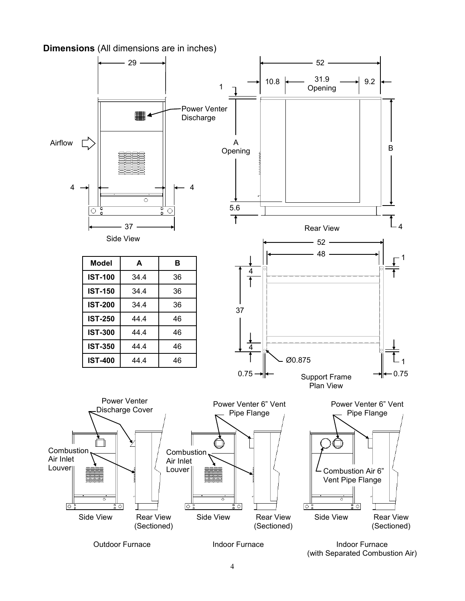**Dimensions** (All dimensions are in inches)



Outdoor Furnace

Indoor Furnace (with Separated Combustion Air)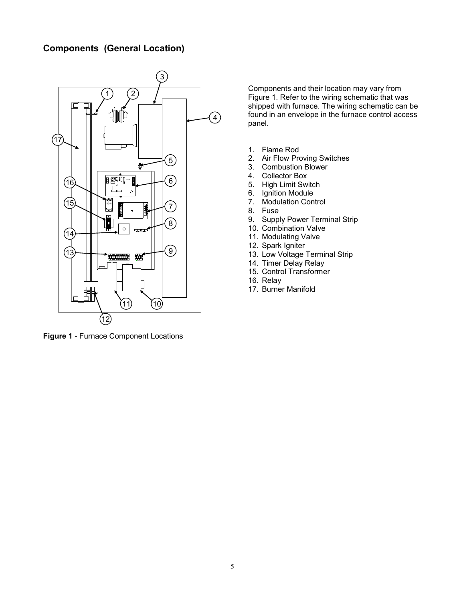#### **Components (General Location)**



**Figure 1** - Furnace Component Locations

Components and their location may vary from Figure 1. Refer to the wiring schematic that was shipped with furnace. The wiring schematic can be found in an envelope in the furnace control access panel.

- 1. Flame Rod
- 2. Air Flow Proving Switches
- 3. Combustion Blower
- 4. Collector Box
- 5. High Limit Switch
- 6. Ignition Module
- 7. Modulation Control
- 8. Fuse
- 9. Supply Power Terminal Strip
- 10. Combination Valve
- 11. Modulating Valve
- 12. Spark Igniter
- 13. Low Voltage Terminal Strip
- 14. Timer Delay Relay
- 15. Control Transformer
- 16. Relay
- 17. Burner Manifold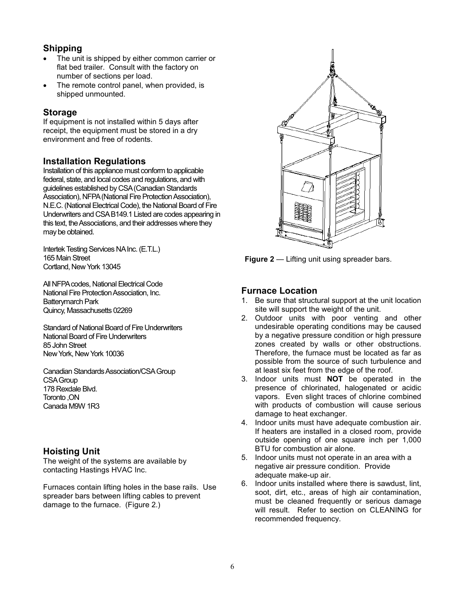#### **Shipping**

- The unit is shipped by either common carrier or flat bed trailer. Consult with the factory on number of sections per load.
- The remote control panel, when provided, is shipped unmounted.

#### **Storage**

If equipment is not installed within 5 days after receipt, the equipment must be stored in a dry environment and free of rodents.

#### **Installation Regulations**

Installation of this appliance must conform to applicable federal, state, and local codes and regulations, and with guidelines established by CSA (Canadian Standards Association), NFPA (National Fire Protection Association), N.E.C. (National Electrical Code), the National Board of Fire Underwriters and CSA B149.1 Listed are codes appearing in this text, the Associations, and their addresses where they may be obtained.

Intertek Testing Services NA Inc. (E.T.L.) 165 Main Street Cortland, New York 13045

All NFPA codes, National Electrical Code National Fire Protection Association, Inc. Batterymarch Park Quincy, Massachusetts 02269

Standard of National Board of Fire Underwriters National Board of Fire Underwriters 85 John Street New York, New York 10036

Canadian Standards Association/CSA Group CSA Group 178 Rexdale Blvd. Toronto ,ON Canada M9W 1R3

#### **Hoisting Unit**

The weight of the systems are available by contacting Hastings HVAC Inc.

Furnaces contain lifting holes in the base rails. Use spreader bars between lifting cables to prevent damage to the furnace. (Figure 2.)



**Figure 2** — Lifting unit using spreader bars.

#### **Furnace Location**

- 1. Be sure that structural support at the unit location site will support the weight of the unit.
- 2. Outdoor units with poor venting and other undesirable operating conditions may be caused by a negative pressure condition or high pressure zones created by walls or other obstructions. Therefore, the furnace must be located as far as possible from the source of such turbulence and at least six feet from the edge of the roof.
- 3. Indoor units must **NOT** be operated in the presence of chlorinated, halogenated or acidic vapors. Even slight traces of chlorine combined with products of combustion will cause serious damage to heat exchanger.
- 4. Indoor units must have adequate combustion air. If heaters are installed in a closed room, provide outside opening of one square inch per 1,000 BTU for combustion air alone.
- 5. Indoor units must not operate in an area with a negative air pressure condition. Provide adequate make-up air.
- 6. Indoor units installed where there is sawdust, lint, soot, dirt, etc., areas of high air contamination, must be cleaned frequently or serious damage will result. Refer to section on CLEANING for recommended frequency.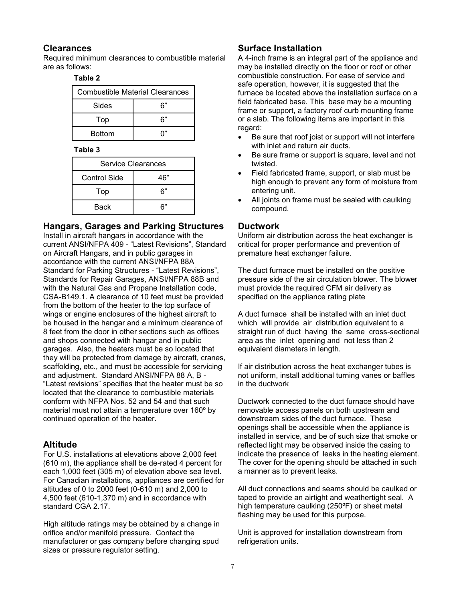#### **Clearances**

Required minimum clearances to combustible material are as follows:

#### **Table 2**

| <b>Combustible Material Clearances</b> |    |  |
|----------------------------------------|----|--|
| Sides                                  | ົ" |  |
| Top                                    | ົ" |  |
| <b>Bottom</b>                          |    |  |

#### **Table 3**

| Service Clearances |     |  |
|--------------------|-----|--|
| Control Side       | 46" |  |
| Top                | 6"  |  |
| Back               | 6"  |  |

#### **Hangars, Garages and Parking Structures**

Install in aircraft hangars in accordance with the current ANSI/NFPA 409 - "Latest Revisions", Standard on Aircraft Hangars, and in public garages in accordance with the current ANSI/NFPA 88A Standard for Parking Structures - "Latest Revisions", Standards for Repair Garages, ANSI/NFPA 88B and with the Natural Gas and Propane Installation code, CSA-B149.1. A clearance of 10 feet must be provided from the bottom of the heater to the top surface of wings or engine enclosures of the highest aircraft to be housed in the hangar and a minimum clearance of 8 feet from the door in other sections such as offices and shops connected with hangar and in public garages. Also, the heaters must be so located that they will be protected from damage by aircraft, cranes, scaffolding, etc., and must be accessible for servicing and adjustment. Standard ANSI/NFPA 88 A, B - "Latest revisions" specifies that the heater must be so located that the clearance to combustible materials conform with NFPA Nos. 52 and 54 and that such material must not attain a temperature over 160º by continued operation of the heater.

#### **Altitude**

For U.S. installations at elevations above 2,000 feet (610 m), the appliance shall be de-rated 4 percent for each 1,000 feet (305 m) of elevation above sea level. For Canadian installations, appliances are certified for altitudes of 0 to 2000 feet (0-610 m) and 2,000 to 4,500 feet (610-1,370 m) and in accordance with standard CGA 2.17.

High altitude ratings may be obtained by a change in orifice and/or manifold pressure. Contact the manufacturer or gas company before changing spud sizes or pressure regulator setting.

#### **Surface Installation**

A 4-inch frame is an integral part of the appliance and may be installed directly on the floor or roof or other combustible construction. For ease of service and safe operation, however, it is suggested that the furnace be located above the installation surface on a field fabricated base. This base may be a mounting frame or support, a factory roof curb mounting frame or a slab. The following items are important in this regard:

- Be sure that roof joist or support will not interfere with inlet and return air ducts.
- Be sure frame or support is square, level and not twisted.
- Field fabricated frame, support, or slab must be high enough to prevent any form of moisture from entering unit.
- All joints on frame must be sealed with caulking compound.

#### **Ductwork**

Uniform air distribution across the heat exchanger is critical for proper performance and prevention of premature heat exchanger failure.

The duct furnace must be installed on the positive pressure side of the air circulation blower. The blower must provide the required CFM air delivery as specified on the appliance rating plate

A duct furnace shall be installed with an inlet duct which will provide air distribution equivalent to a straight run of duct having the same cross-sectional area as the inlet opening and not less than 2 equivalent diameters in length.

If air distribution across the heat exchanger tubes is not uniform, install additional turning vanes or baffles in the ductwork

Ductwork connected to the duct furnace should have removable access panels on both upstream and downstream sides of the duct furnace. These openings shall be accessible when the appliance is installed in service, and be of such size that smoke or reflected light may be observed inside the casing to indicate the presence of leaks in the heating element. The cover for the opening should be attached in such a manner as to prevent leaks.

All duct connections and seams should be caulked or taped to provide an airtight and weathertight seal. A high temperature caulking (250ºF) or sheet metal flashing may be used for this purpose.

Unit is approved for installation downstream from refrigeration units.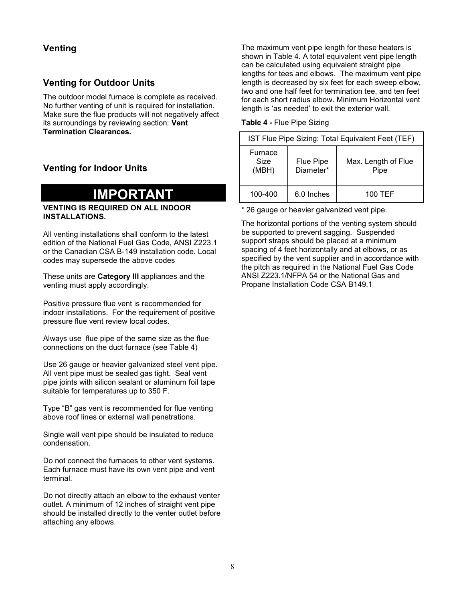#### **Venting**

#### **Venting for Outdoor Units**

The outdoor model furnace is complete as received. No further venting of unit is required for installation. Make sure the flue products will not negatively affect its surroundings by reviewing section: **Vent Termination Clearances.**

### **Venting for Indoor Units**

## **IMPORTANT**

#### **VENTING IS REQUIRED ON ALL INDOOR INSTALLATIONS.**

All venting installations shall conform to the latest edition of the National Fuel Gas Code, ANSI Z223.1 or the Canadian CSA B-149 installation code. Local codes may supersede the above codes

These units are **Category III** appliances and the venting must apply accordingly.

Positive pressure flue vent is recommended for indoor installations. For the requirement of positive pressure flue vent review local codes.

Always use flue pipe of the same size as the flue connections on the duct furnace (see Table 4)

Use 26 gauge or heavier galvanized steel vent pipe. All vent pipe must be sealed gas tight. Seal vent pipe joints with silicon sealant or aluminum foil tape suitable for temperatures up to 350 F.

Type "B" gas vent is recommended for flue venting above roof lines or external wall penetrations.

Single wall vent pipe should be insulated to reduce condensation.

Do not connect the furnaces to other vent systems. Each furnace must have its own vent pipe and vent terminal.

Do not directly attach an elbow to the exhaust venter outlet. A minimum of 12 inches of straight vent pipe should be installed directly to the venter outlet before attaching any elbows.

The maximum vent pipe length for these heaters is shown in Table 4. A total equivalent vent pipe length can be calculated using equivalent straight pipe lengths for tees and elbows. The maximum vent pipe length is decreased by six feet for each sweep elbow, two and one half feet for termination tee, and ten feet for each short radius elbow. Minimum Horizontal vent length is 'as needed' to exit the exterior wall.

**Table 4 -** Flue Pipe Sizing

| IST Flue Pipe Sizing: Total Equivalent Feet (TEF) |                               |                             |  |
|---------------------------------------------------|-------------------------------|-----------------------------|--|
| Furnace<br>Size<br>(MBH)                          | <b>Flue Pipe</b><br>Diameter* | Max. Length of Flue<br>Pipe |  |
| 100-400                                           | 6.0 Inches                    | 100 TEF                     |  |

\* 26 gauge or heavier galvanized vent pipe.

The horizontal portions of the venting system should be supported to prevent sagging. Suspended support straps should be placed at a minimum spacing of 4 feet horizontally and at elbows, or as specified by the vent supplier and in accordance with the pitch as required in the National Fuel Gas Code ANSI Z223.1/NFPA 54 or the National Gas and Propane Installation Code CSA B149.1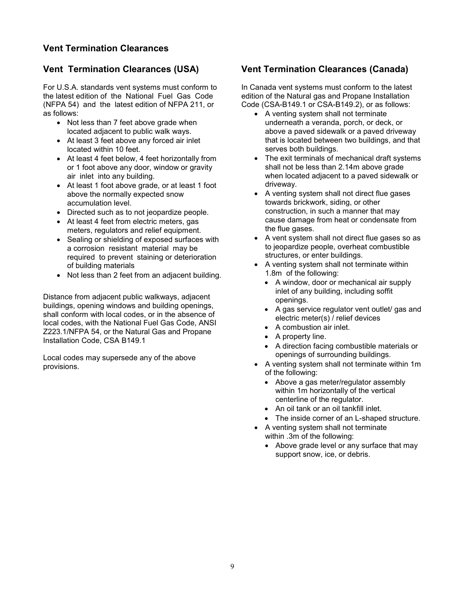#### **Vent Termination Clearances**

#### **Vent Termination Clearances (USA)**

For U.S.A. standards vent systems must conform to the latest edition of the National Fuel Gas Code (NFPA 54) and the latest edition of NFPA 211, or as follows:

- Not less than 7 feet above grade when located adjacent to public walk ways.
- At least 3 feet above any forced air inlet located within 10 feet.
- At least 4 feet below, 4 feet horizontally from or 1 foot above any door, window or gravity air inlet into any building.
- At least 1 foot above grade, or at least 1 foot above the normally expected snow accumulation level.
- Directed such as to not jeopardize people.
- At least 4 feet from electric meters, gas meters, regulators and relief equipment.
- Sealing or shielding of exposed surfaces with a corrosion resistant material may be required to prevent staining or deterioration of building materials
- Not less than 2 feet from an adjacent building.

Distance from adjacent public walkways, adjacent buildings, opening windows and building openings, shall conform with local codes, or in the absence of local codes, with the National Fuel Gas Code, ANSI Z223.1/NFPA 54, or the Natural Gas and Propane Installation Code, CSA B149.1

Local codes may supersede any of the above provisions.

## **Vent Termination Clearances (Canada)**

In Canada vent systems must conform to the latest edition of the Natural gas and Propane Installation Code (CSA-B149.1 or CSA-B149.2), or as follows:

- A venting system shall not terminate underneath a veranda, porch, or deck, or above a paved sidewalk or a paved driveway that is located between two buildings, and that serves both buildings.
- The exit terminals of mechanical draft systems shall not be less than 2.14m above grade when located adjacent to a paved sidewalk or driveway.
- A venting system shall not direct flue gases towards brickwork, siding, or other construction, in such a manner that may cause damage from heat or condensate from the flue gases.
- A vent system shall not direct flue gases so as to jeopardize people, overheat combustible structures, or enter buildings.
- A venting system shall not terminate within 1.8m of the following:
	- A window, door or mechanical air supply inlet of any building, including soffit openings.
	- A gas service regulator vent outlet/ gas and electric meter(s) / relief devices
	- A combustion air inlet.
	- A property line.
	- A direction facing combustible materials or openings of surrounding buildings.
- A venting system shall not terminate within 1m of the following:
	- Above a gas meter/regulator assembly within 1m horizontally of the vertical centerline of the regulator.
	- An oil tank or an oil tankfill inlet.
	- The inside corner of an L-shaped structure.
- A venting system shall not terminate within .3m of the following:
	- Above grade level or any surface that may support snow, ice, or debris.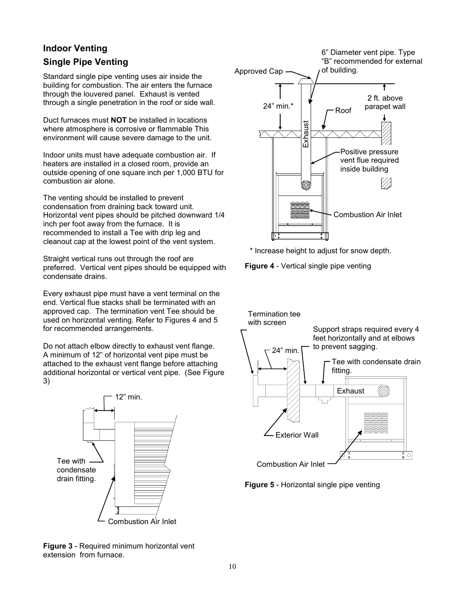### **Indoor Venting**

### **Single Pipe Venting**

Standard single pipe venting uses air inside the building for combustion. The air enters the furnace through the louvered panel. Exhaust is vented through a single penetration in the roof or side wall.

Duct furnaces must **NOT** be installed in locations where atmosphere is corrosive or flammable This environment will cause severe damage to the unit.

Indoor units must have adequate combustion air. If heaters are installed in a closed room, provide an outside opening of one square inch per 1,000 BTU for combustion air alone.

The venting should be installed to prevent condensation from draining back toward unit. Horizontal vent pipes should be pitched downward 1/4 inch per foot away from the furnace. It is recommended to install a Tee with drip leg and cleanout cap at the lowest point of the vent system.

Straight vertical runs out through the roof are preferred. Vertical vent pipes should be equipped with condensate drains.

Every exhaust pipe must have a vent terminal on the end. Vertical flue stacks shall be terminated with an approved cap. The termination vent Tee should be used on horizontal venting. Refer to Figures 4 and 5 for recommended arrangements.

Do not attach elbow directly to exhaust vent flange. A minimum of 12" of horizontal vent pipe must be attached to the exhaust vent flange before attaching additional horizontal or vertical vent pipe. (See Figure 3)



"B" recommended for external of building. Approved Cap 2 ft. above 24" min.\* parapet wall Roof Exhaust Positive pressure vent flue required inside building Combustion Air Inlet ता

6" Diameter vent pipe. Type

\* Increase height to adjust for snow depth.

**Figure 4** - Vertical single pipe venting





**Figure 3** - Required minimum horizontal vent extension from furnace.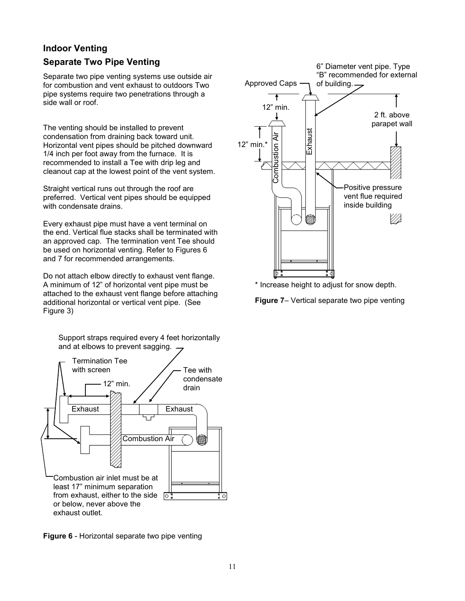## **Indoor Venting Separate Two Pipe Venting**

Separate two pipe venting systems use outside air for combustion and vent exhaust to outdoors Two pipe systems require two penetrations through a side wall or roof.

The venting should be installed to prevent condensation from draining back toward unit. Horizontal vent pipes should be pitched downward 1/4 inch per foot away from the furnace. It is recommended to install a Tee with drip leg and cleanout cap at the lowest point of the vent system.

Straight vertical runs out through the roof are preferred. Vertical vent pipes should be equipped with condensate drains.

Every exhaust pipe must have a vent terminal on the end. Vertical flue stacks shall be terminated with an approved cap. The termination vent Tee should be used on horizontal venting. Refer to Figures 6 and 7 for recommended arrangements.

Do not attach elbow directly to exhaust vent flange. A minimum of 12" of horizontal vent pipe must be attached to the exhaust vent flange before attaching additional horizontal or vertical vent pipe. (See Figure 3)

Support straps required every 4 feet horizontally and at elbows to prevent sagging.







\* Increase height to adjust for snow depth.

**Figure 7**– Vertical separate two pipe venting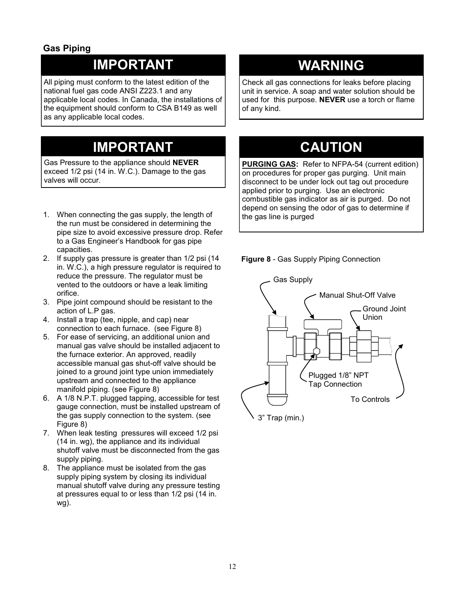### **Gas Piping**

## **IMPORTANT**

All piping must conform to the latest edition of the national fuel gas code ANSI Z223.1 and any applicable local codes. In Canada, the installations of the equipment should conform to CSA B149 as well as any applicable local codes.

## **IMPORTANT**

Gas Pressure to the appliance should **NEVER** exceed 1/2 psi (14 in. W.C.). Damage to the gas valves will occur.

- 1. When connecting the gas supply, the length of the run must be considered in determining the pipe size to avoid excessive pressure drop. Refer to a Gas Engineer's Handbook for gas pipe capacities.
- 2. If supply gas pressure is greater than 1/2 psi (14 in. W.C.), a high pressure regulator is required to reduce the pressure. The regulator must be vented to the outdoors or have a leak limiting orifice.
- 3. Pipe joint compound should be resistant to the action of L.P gas.
- 4. Install a trap (tee, nipple, and cap) near connection to each furnace. (see Figure 8)
- 5. For ease of servicing, an additional union and manual gas valve should be installed adjacent to the furnace exterior. An approved, readily accessible manual gas shut-off valve should be joined to a ground joint type union immediately upstream and connected to the appliance manifold piping. (see Figure 8)
- 6. A 1/8 N.P.T. plugged tapping, accessible for test gauge connection, must be installed upstream of the gas supply connection to the system. (see Figure 8)
- 7. When leak testing pressures will exceed 1/2 psi (14 in. wg), the appliance and its individual shutoff valve must be disconnected from the gas supply piping.
- 8. The appliance must be isolated from the gas supply piping system by closing its individual manual shutoff valve during any pressure testing at pressures equal to or less than 1/2 psi (14 in. wg).

## **WARNING**

Check all gas connections for leaks before placing unit in service. A soap and water solution should be used for this purpose. **NEVER** use a torch or flame of any kind.

## **CAUTION**

**PURGING GAS:** Refer to NFPA-54 (current edition) on procedures for proper gas purging. Unit main disconnect to be under lock out tag out procedure applied prior to purging. Use an electronic combustible gas indicator as air is purged. Do not depend on sensing the odor of gas to determine if the gas line is purged

**Figure 8** - Gas Supply Piping Connection

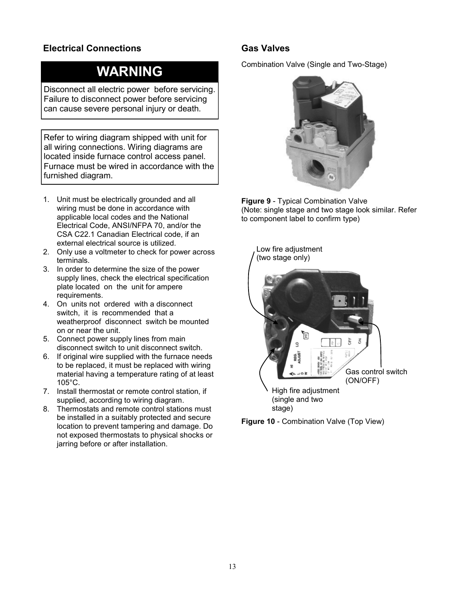### **Electrical Connections**

## **WARNING**

Disconnect all electric power before servicing. Failure to disconnect power before servicing can cause severe personal injury or death.

Refer to wiring diagram shipped with unit for all wiring connections. Wiring diagrams are located inside furnace control access panel. Furnace must be wired in accordance with the furnished diagram.

- 1. Unit must be electrically grounded and all wiring must be done in accordance with applicable local codes and the National Electrical Code, ANSI/NFPA 70, and/or the CSA C22.1 Canadian Electrical code, if an external electrical source is utilized.
- 2. Only use a voltmeter to check for power across terminals.
- 3. In order to determine the size of the power supply lines, check the electrical specification plate located on the unit for ampere requirements.
- 4. On units not ordered with a disconnect switch, it is recommended that a weatherproof disconnect switch be mounted on or near the unit.
- 5. Connect power supply lines from main disconnect switch to unit disconnect switch.
- 6. If original wire supplied with the furnace needs to be replaced, it must be replaced with wiring material having a temperature rating of at least 105°C.
- 7. Install thermostat or remote control station, if supplied, according to wiring diagram.
- 8. Thermostats and remote control stations must be installed in a suitably protected and secure location to prevent tampering and damage. Do not exposed thermostats to physical shocks or jarring before or after installation.

### **Gas Valves**

Combination Valve (Single and Two-Stage)



**Figure 9** - Typical Combination Valve (Note: single stage and two stage look similar. Refer to component label to confirm type)



**Figure 10** - Combination Valve (Top View)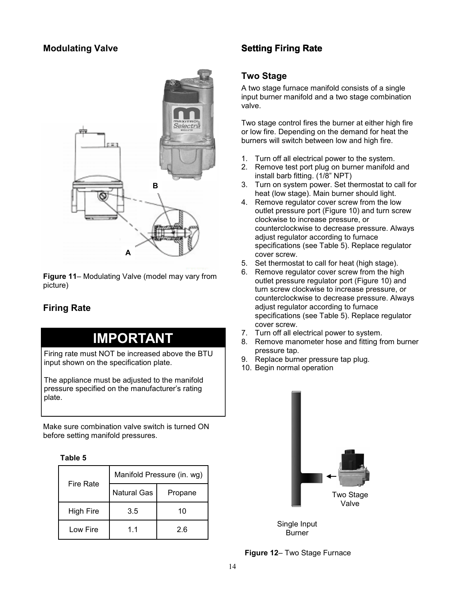### **Modulating Valve**



**Figure 11**– Modulating Valve (model may vary from picture)

## **Firing Rate**

## **IMPORTANT**

Firing rate must NOT be increased above the BTU input shown on the specification plate.

The appliance must be adjusted to the manifold pressure specified on the manufacturer's rating plate.

Make sure combination valve switch is turned ON before setting manifold pressures.

#### **Table 5**

| <b>Fire Rate</b> | Manifold Pressure (in. wg) |         |  |  |
|------------------|----------------------------|---------|--|--|
|                  | Natural Gas                | Propane |  |  |
| <b>High Fire</b> | 3.5                        | 10      |  |  |
| Low Fire         | 11                         | 26      |  |  |

## **Setting Firing Rate**

#### **Two Stage**

A two stage furnace manifold consists of a single input burner manifold and a two stage combination valve.

Two stage control fires the burner at either high fire or low fire. Depending on the demand for heat the burners will switch between low and high fire.

- 1. Turn off all electrical power to the system.
- 2. Remove test port plug on burner manifold and install barb fitting. (1/8" NPT)
- 3. Turn on system power. Set thermostat to call for heat (low stage). Main burner should light.
- 4. Remove regulator cover screw from the low outlet pressure port (Figure 10) and turn screw clockwise to increase pressure, or counterclockwise to decrease pressure. Always adjust regulator according to furnace specifications (see Table 5). Replace regulator cover screw.
- 5. Set thermostat to call for heat (high stage).
- 6. Remove regulator cover screw from the high outlet pressure regulator port (Figure 10) and turn screw clockwise to increase pressure, or counterclockwise to decrease pressure. Always adjust regulator according to furnace specifications (see Table 5). Replace regulator cover screw.
- 7. Turn off all electrical power to system.
- 8. Remove manometer hose and fitting from burner pressure tap.
- 9. Replace burner pressure tap plug.
- 10. Begin normal operation



Burner

**Figure 12**– Two Stage Furnace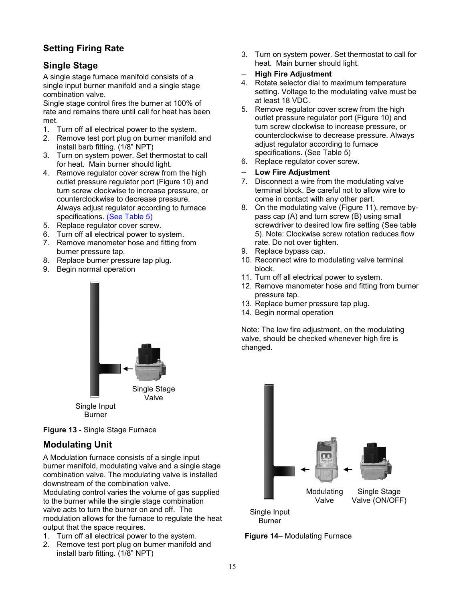## **Setting Firing Rate**

## **Single Stage**

A single stage furnace manifold consists of a single input burner manifold and a single stage combination valve.

Single stage control fires the burner at 100% of rate and remains there until call for heat has been met.

- 1. Turn off all electrical power to the system.
- 2. Remove test port plug on burner manifold and install barb fitting. (1/8" NPT)
- 3. Turn on system power. Set thermostat to call for heat. Main burner should light.
- 4. Remove regulator cover screw from the high outlet pressure regulator port (Figure 10) and turn screw clockwise to increase pressure, or counterclockwise to decrease pressure. Always adjust regulator according to furnace specifications. (See Table 5)
- 5. Replace regulator cover screw.
- 6. Turn off all electrical power to system.
- 7. Remove manometer hose and fitting from burner pressure tap.
- 8. Replace burner pressure tap plug.
- 9. Begin normal operation



**Figure 13** - Single Stage Furnace

## **Modulating Unit**

A Modulation furnace consists of a single input burner manifold, modulating valve and a single stage combination valve. The modulating valve is installed downstream of the combination valve.

Modulating control varies the volume of gas supplied to the burner while the single stage combination valve acts to turn the burner on and off. The modulation allows for the furnace to regulate the heat output that the space requires.

- 1. Turn off all electrical power to the system.
- 2. Remove test port plug on burner manifold and install barb fitting. (1/8" NPT)

3. Turn on system power. Set thermostat to call for heat. Main burner should light.

#### **High Fire Adjustment**

- 4. Rotate selector dial to maximum temperature setting. Voltage to the modulating valve must be at least 18 VDC.
- 5. Remove regulator cover screw from the high outlet pressure regulator port (Figure 10) and turn screw clockwise to increase pressure, or counterclockwise to decrease pressure. Always adiust regulator according to furnace specifications. (See Table 5)
- 6. Replace regulator cover screw.
- **Low Fire Adjustment**
- 7. Disconnect a wire from the modulating valve terminal block. Be careful not to allow wire to come in contact with any other part.
- 8. On the modulating valve (Figure 11), remove bypass cap (A) and turn screw (B) using small screwdriver to desired low fire setting (See table 5). Note: Clockwise screw rotation reduces flow rate. Do not over tighten.
- 9. Replace bypass cap.
- 10. Reconnect wire to modulating valve terminal block.
- 11. Turn off all electrical power to system.
- 12. Remove manometer hose and fitting from burner pressure tap.
- 13. Replace burner pressure tap plug.
- 14. Begin normal operation

Note: The low fire adjustment, on the modulating valve, should be checked whenever high fire is changed.



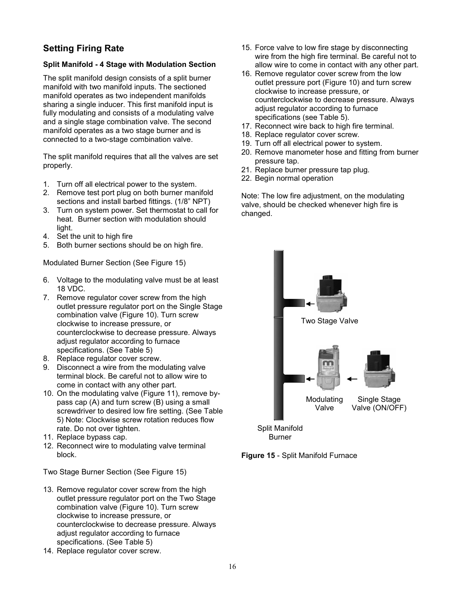## **Setting Firing Rate**

#### **Split Manifold - 4 Stage with Modulation Section**

The split manifold design consists of a split burner manifold with two manifold inputs. The sectioned manifold operates as two independent manifolds sharing a single inducer. This first manifold input is fully modulating and consists of a modulating valve and a single stage combination valve. The second manifold operates as a two stage burner and is connected to a two-stage combination valve.

The split manifold requires that all the valves are set properly.

- 1. Turn off all electrical power to the system.
- 2. Remove test port plug on both burner manifold sections and install barbed fittings. (1/8" NPT)
- 3. Turn on system power. Set thermostat to call for heat. Burner section with modulation should light.
- 4. Set the unit to high fire
- 5. Both burner sections should be on high fire.

Modulated Burner Section (See Figure 15)

- 6. Voltage to the modulating valve must be at least 18 VDC.
- 7. Remove regulator cover screw from the high outlet pressure regulator port on the Single Stage combination valve (Figure 10). Turn screw clockwise to increase pressure, or counterclockwise to decrease pressure. Always adjust regulator according to furnace specifications. (See Table 5)
- 8. Replace regulator cover screw.
- 9. Disconnect a wire from the modulating valve terminal block. Be careful not to allow wire to come in contact with any other part.
- 10. On the modulating valve (Figure 11), remove bypass cap (A) and turn screw (B) using a small screwdriver to desired low fire setting. (See Table 5) Note: Clockwise screw rotation reduces flow rate. Do not over tighten.
- 11. Replace bypass cap.
- 12. Reconnect wire to modulating valve terminal block.

Two Stage Burner Section (See Figure 15)

- 13. Remove regulator cover screw from the high outlet pressure regulator port on the Two Stage combination valve (Figure 10). Turn screw clockwise to increase pressure, or counterclockwise to decrease pressure. Always adjust regulator according to furnace specifications. (See Table 5)
- 14. Replace regulator cover screw.
- 15. Force valve to low fire stage by disconnecting wire from the high fire terminal. Be careful not to allow wire to come in contact with any other part.
- 16. Remove regulator cover screw from the low outlet pressure port (Figure 10) and turn screw clockwise to increase pressure, or counterclockwise to decrease pressure. Always adjust regulator according to furnace specifications (see Table 5).
- 17. Reconnect wire back to high fire terminal.
- 18. Replace regulator cover screw.
- 19. Turn off all electrical power to system.
- 20. Remove manometer hose and fitting from burner pressure tap.
- 21. Replace burner pressure tap plug.
- 22. Begin normal operation

Note: The low fire adjustment, on the modulating valve, should be checked whenever high fire is changed.



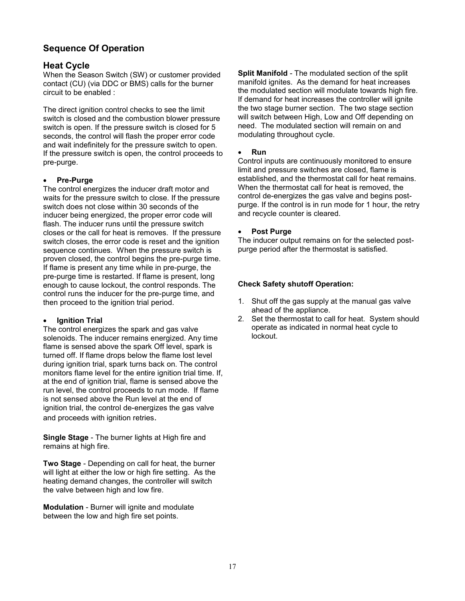## **Sequence Of Operation**

#### **Heat Cycle**

When the Season Switch (SW) or customer provided contact (CU) (via DDC or BMS) calls for the burner circuit to be enabled :

The direct ignition control checks to see the limit switch is closed and the combustion blower pressure switch is open. If the pressure switch is closed for 5 seconds, the control will flash the proper error code and wait indefinitely for the pressure switch to open. If the pressure switch is open, the control proceeds to pre-purge.

#### **Pre-Purge**

The control energizes the inducer draft motor and waits for the pressure switch to close. If the pressure switch does not close within 30 seconds of the inducer being energized, the proper error code will flash. The inducer runs until the pressure switch closes or the call for heat is removes. If the pressure switch closes, the error code is reset and the ignition sequence continues. When the pressure switch is proven closed, the control begins the pre-purge time. If flame is present any time while in pre-purge, the pre-purge time is restarted. If flame is present, long enough to cause lockout, the control responds. The control runs the inducer for the pre-purge time, and then proceed to the ignition trial period.

#### **Ignition Trial**

The control energizes the spark and gas valve solenoids. The inducer remains energized. Any time flame is sensed above the spark Off level, spark is turned off. If flame drops below the flame lost level during ignition trial, spark turns back on. The control monitors flame level for the entire ignition trial time. If, at the end of ignition trial, flame is sensed above the run level, the control proceeds to run mode. If flame is not sensed above the Run level at the end of ignition trial, the control de-energizes the gas valve and proceeds with ignition retries.

**Single Stage** - The burner lights at High fire and remains at high fire.

**Two Stage** - Depending on call for heat, the burner will light at either the low or high fire setting. As the heating demand changes, the controller will switch the valve between high and low fire.

**Modulation** - Burner will ignite and modulate between the low and high fire set points.

**Split Manifold** - The modulated section of the split manifold ignites. As the demand for heat increases the modulated section will modulate towards high fire. If demand for heat increases the controller will ignite the two stage burner section. The two stage section will switch between High, Low and Off depending on need. The modulated section will remain on and modulating throughout cycle.

#### **Run**

Control inputs are continuously monitored to ensure limit and pressure switches are closed, flame is established, and the thermostat call for heat remains. When the thermostat call for heat is removed, the control de-energizes the gas valve and begins postpurge. If the control is in run mode for 1 hour, the retry and recycle counter is cleared.

#### **Post Purge**

The inducer output remains on for the selected postpurge period after the thermostat is satisfied.

#### **Check Safety shutoff Operation:**

- 1. Shut off the gas supply at the manual gas valve ahead of the appliance.
- 2. Set the thermostat to call for heat. System should operate as indicated in normal heat cycle to lockout.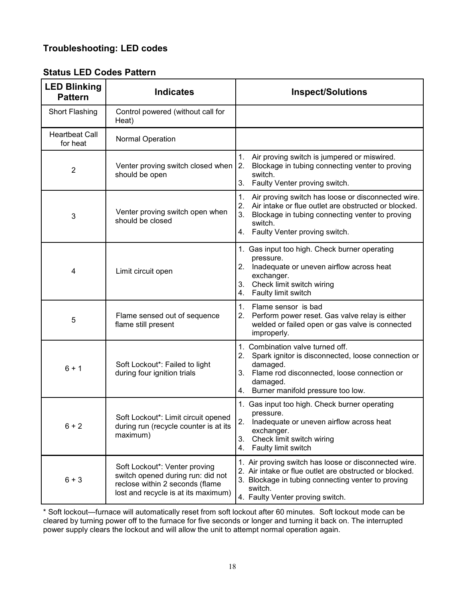## **Troubleshooting: LED codes**

| <b>LED Blinking</b><br><b>Pattern</b> | <b>Indicates</b>                                                                                                                             | <b>Inspect/Solutions</b>                                                                                                                                                                                                       |
|---------------------------------------|----------------------------------------------------------------------------------------------------------------------------------------------|--------------------------------------------------------------------------------------------------------------------------------------------------------------------------------------------------------------------------------|
| Short Flashing                        | Control powered (without call for<br>Heat)                                                                                                   |                                                                                                                                                                                                                                |
| <b>Heartbeat Call</b><br>for heat     | Normal Operation                                                                                                                             |                                                                                                                                                                                                                                |
| $\overline{2}$                        | Venter proving switch closed when<br>should be open                                                                                          | 1.<br>Air proving switch is jumpered or miswired.<br>Blockage in tubing connecting venter to proving<br>2.<br>switch.<br>3.<br>Faulty Venter proving switch.                                                                   |
| 3                                     | Venter proving switch open when<br>should be closed                                                                                          | Air proving switch has loose or disconnected wire.<br>1.<br>2.<br>Air intake or flue outlet are obstructed or blocked.<br>3.<br>Blockage in tubing connecting venter to proving<br>switch.<br>4. Faulty Venter proving switch. |
| 4                                     | Limit circuit open                                                                                                                           | 1. Gas input too high. Check burner operating<br>pressure.<br>2.<br>Inadequate or uneven airflow across heat<br>exchanger.<br>Check limit switch wiring<br>3.<br>Faulty limit switch<br>4.                                     |
| 5                                     | Flame sensed out of sequence<br>flame still present                                                                                          | $\mathbf{1}$ .<br>Flame sensor is bad<br>2.<br>Perform power reset. Gas valve relay is either<br>welded or failed open or gas valve is connected<br>improperly.                                                                |
| $6 + 1$                               | Soft Lockout*: Failed to light<br>during four ignition trials                                                                                | 1. Combination valve turned off.<br>2.<br>Spark ignitor is disconnected, loose connection or<br>damaged.<br>Flame rod disconnected, loose connection or<br>3.<br>damaged.<br>4. Burner manifold pressure too low.              |
| $6 + 2$                               | Soft Lockout*: Limit circuit opened<br>during run (recycle counter is at its<br>maximum)                                                     | 1. Gas input too high. Check burner operating<br>pressure.<br>2.<br>Inadequate or uneven airflow across heat<br>exchanger.<br>3.<br>Check limit switch wiring<br>Faulty limit switch<br>4.                                     |
| $6 + 3$                               | Soft Lockout*: Venter proving<br>switch opened during run: did not<br>reclose within 2 seconds (flame<br>lost and recycle is at its maximum) | 1. Air proving switch has loose or disconnected wire.<br>2. Air intake or flue outlet are obstructed or blocked.<br>3. Blockage in tubing connecting venter to proving<br>switch.<br>4. Faulty Venter proving switch.          |

## **Status LED Codes Pattern**

\* Soft lockout—furnace will automatically reset from soft lockout after 60 minutes. Soft lockout mode can be cleared by turning power off to the furnace for five seconds or longer and turning it back on. The interrupted power supply clears the lockout and will allow the unit to attempt normal operation again.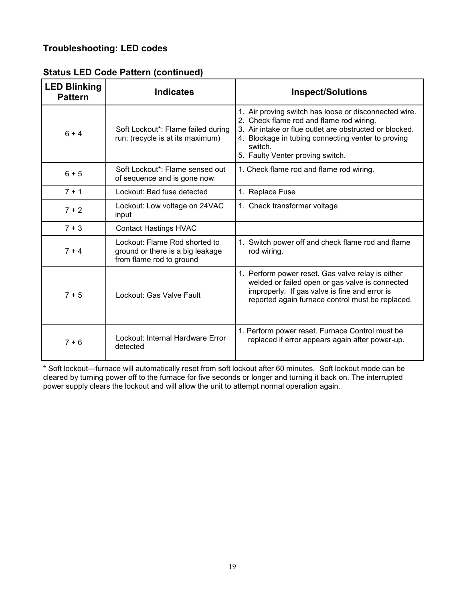## **Troubleshooting: LED codes**

|  |  |  |  | <b>Status LED Code Pattern (continued)</b> |
|--|--|--|--|--------------------------------------------|
|--|--|--|--|--------------------------------------------|

| <b>LED Blinking</b><br><b>Pattern</b> | <b>Indicates</b>                                                                              | <b>Inspect/Solutions</b>                                                                                                                                                                                                                                          |
|---------------------------------------|-----------------------------------------------------------------------------------------------|-------------------------------------------------------------------------------------------------------------------------------------------------------------------------------------------------------------------------------------------------------------------|
| $6 + 4$                               | Soft Lockout*: Flame failed during<br>run: (recycle is at its maximum)                        | 1. Air proving switch has loose or disconnected wire.<br>2. Check flame rod and flame rod wiring.<br>3. Air intake or flue outlet are obstructed or blocked.<br>4. Blockage in tubing connecting venter to proving<br>switch.<br>5. Faulty Venter proving switch. |
| $6 + 5$                               | Soft Lockout*: Flame sensed out<br>of sequence and is gone now                                | 1. Check flame rod and flame rod wiring.                                                                                                                                                                                                                          |
| $7 + 1$                               | Lockout: Bad fuse detected                                                                    | 1. Replace Fuse                                                                                                                                                                                                                                                   |
| $7 + 2$                               | Lockout: Low voltage on 24VAC<br>input                                                        | 1. Check transformer voltage                                                                                                                                                                                                                                      |
| $7 + 3$                               | <b>Contact Hastings HVAC</b>                                                                  |                                                                                                                                                                                                                                                                   |
| $7 + 4$                               | Lockout: Flame Rod shorted to<br>ground or there is a big leakage<br>from flame rod to ground | 1. Switch power off and check flame rod and flame<br>rod wiring.                                                                                                                                                                                                  |
| $7 + 5$                               | Lockout: Gas Valve Fault                                                                      | 1. Perform power reset. Gas valve relay is either<br>welded or failed open or gas valve is connected<br>improperly. If gas valve is fine and error is<br>reported again furnace control must be replaced.                                                         |
| $7 + 6$                               | Lockout: Internal Hardware Error<br>detected                                                  | 1. Perform power reset. Furnace Control must be<br>replaced if error appears again after power-up.                                                                                                                                                                |

\* Soft lockout—furnace will automatically reset from soft lockout after 60 minutes. Soft lockout mode can be cleared by turning power off to the furnace for five seconds or longer and turning it back on. The interrupted power supply clears the lockout and will allow the unit to attempt normal operation again.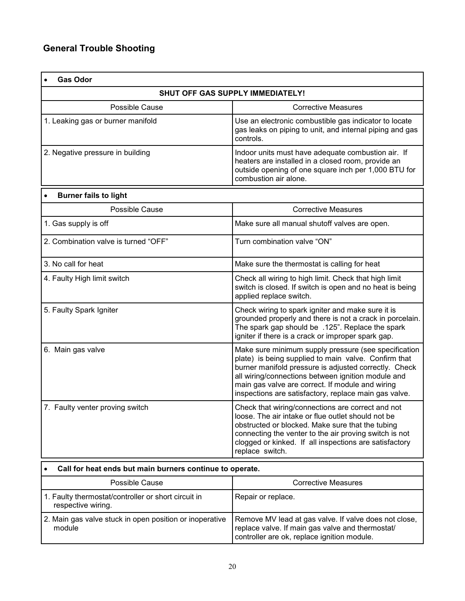| <b>Gas Odor</b>                                                       |                                                                                                                                                                                                                                                                                                                                          |  |
|-----------------------------------------------------------------------|------------------------------------------------------------------------------------------------------------------------------------------------------------------------------------------------------------------------------------------------------------------------------------------------------------------------------------------|--|
| <b>SHUT OFF GAS SUPPLY IMMEDIATELY!</b>                               |                                                                                                                                                                                                                                                                                                                                          |  |
| Possible Cause                                                        | <b>Corrective Measures</b>                                                                                                                                                                                                                                                                                                               |  |
| 1. Leaking gas or burner manifold                                     | Use an electronic combustible gas indicator to locate<br>gas leaks on piping to unit, and internal piping and gas<br>controls.                                                                                                                                                                                                           |  |
| 2. Negative pressure in building                                      | Indoor units must have adequate combustion air. If<br>heaters are installed in a closed room, provide an<br>outside opening of one square inch per 1,000 BTU for<br>combustion air alone.                                                                                                                                                |  |
| <b>Burner fails to light</b>                                          |                                                                                                                                                                                                                                                                                                                                          |  |
| Possible Cause                                                        | <b>Corrective Measures</b>                                                                                                                                                                                                                                                                                                               |  |
| 1. Gas supply is off                                                  | Make sure all manual shutoff valves are open.                                                                                                                                                                                                                                                                                            |  |
| 2. Combination valve is turned "OFF"                                  | Turn combination valve "ON"                                                                                                                                                                                                                                                                                                              |  |
| 3. No call for heat                                                   | Make sure the thermostat is calling for heat                                                                                                                                                                                                                                                                                             |  |
| 4. Faulty High limit switch                                           | Check all wiring to high limit. Check that high limit<br>switch is closed. If switch is open and no heat is being<br>applied replace switch.                                                                                                                                                                                             |  |
| 5. Faulty Spark Igniter                                               | Check wiring to spark igniter and make sure it is<br>grounded properly and there is not a crack in porcelain.<br>The spark gap should be .125". Replace the spark<br>igniter if there is a crack or improper spark gap.                                                                                                                  |  |
| 6. Main gas valve                                                     | Make sure minimum supply pressure (see specification<br>plate) is being supplied to main valve. Confirm that<br>burner manifold pressure is adjusted correctly. Check<br>all wiring/connections between ignition module and<br>main gas valve are correct. If module and wiring<br>inspections are satisfactory, replace main gas valve. |  |
| 7. Faulty venter proving switch                                       | Check that wiring/connections are correct and not<br>loose. The air intake or flue outlet should not be<br>obstructed or blocked. Make sure that the tubing<br>connecting the venter to the air proving switch is not<br>clogged or kinked. If all inspections are satisfactory<br>replace switch.                                       |  |
| Call for heat ends but main burners continue to operate.<br>$\bullet$ |                                                                                                                                                                                                                                                                                                                                          |  |

| Possible Cause                                                            | Corrective Measures                                                                                                                                      |
|---------------------------------------------------------------------------|----------------------------------------------------------------------------------------------------------------------------------------------------------|
| 1. Faulty thermostat/controller or short circuit in<br>respective wiring. | Repair or replace.                                                                                                                                       |
| 2. Main gas valve stuck in open position or inoperative<br>module         | Remove MV lead at gas valve. If valve does not close,<br>replace valve. If main gas valve and thermostat/<br>controller are ok, replace ignition module. |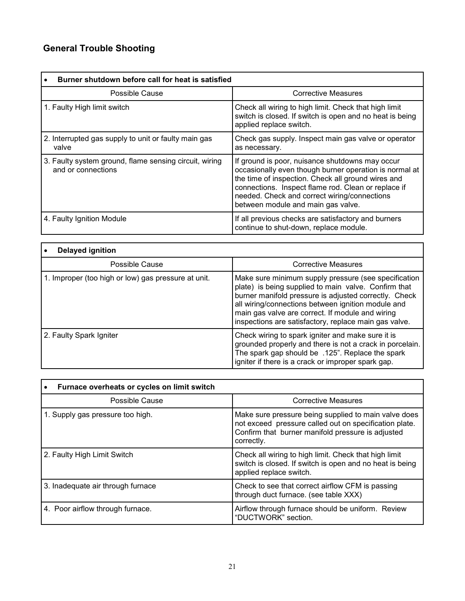## **General Trouble Shooting**

| Burner shutdown before call for heat is satisfied                            |                                                                                                                                                                                                                                                                                                              |
|------------------------------------------------------------------------------|--------------------------------------------------------------------------------------------------------------------------------------------------------------------------------------------------------------------------------------------------------------------------------------------------------------|
| Possible Cause                                                               | <b>Corrective Measures</b>                                                                                                                                                                                                                                                                                   |
| 1. Faulty High limit switch                                                  | Check all wiring to high limit. Check that high limit<br>switch is closed. If switch is open and no heat is being<br>applied replace switch.                                                                                                                                                                 |
| 2. Interrupted gas supply to unit or faulty main gas<br>valve                | Check gas supply. Inspect main gas valve or operator<br>as necessary.                                                                                                                                                                                                                                        |
| 3. Faulty system ground, flame sensing circuit, wiring<br>and or connections | If ground is poor, nuisance shutdowns may occur<br>occasionally even though burner operation is normal at<br>the time of inspection. Check all ground wires and<br>connections. Inspect flame rod. Clean or replace if<br>needed. Check and correct wiring/connections<br>between module and main gas valve. |
| 4. Faulty Ignition Module                                                    | If all previous checks are satisfactory and burners<br>continue to shut-down, replace module.                                                                                                                                                                                                                |

| Delayed ignition                                    |                                                                                                                                                                                                                                                                                                                                          |  |
|-----------------------------------------------------|------------------------------------------------------------------------------------------------------------------------------------------------------------------------------------------------------------------------------------------------------------------------------------------------------------------------------------------|--|
| Possible Cause                                      | <b>Corrective Measures</b>                                                                                                                                                                                                                                                                                                               |  |
| 1. Improper (too high or low) gas pressure at unit. | Make sure minimum supply pressure (see specification<br>plate) is being supplied to main valve. Confirm that<br>burner manifold pressure is adjusted correctly. Check<br>all wiring/connections between ignition module and<br>main gas valve are correct. If module and wiring<br>inspections are satisfactory, replace main gas valve. |  |
| 2. Faulty Spark Igniter                             | Check wiring to spark igniter and make sure it is<br>grounded properly and there is not a crack in porcelain.<br>The spark gap should be .125". Replace the spark<br>igniter if there is a crack or improper spark gap.                                                                                                                  |  |

| Furnace overheats or cycles on limit switch |                                                                                                                                                                                   |
|---------------------------------------------|-----------------------------------------------------------------------------------------------------------------------------------------------------------------------------------|
| Possible Cause                              | <b>Corrective Measures</b>                                                                                                                                                        |
| 1. Supply gas pressure too high.            | Make sure pressure being supplied to main valve does<br>not exceed pressure called out on specification plate.<br>Confirm that burner manifold pressure is adjusted<br>correctly. |
| 2. Faulty High Limit Switch                 | Check all wiring to high limit. Check that high limit<br>switch is closed. If switch is open and no heat is being<br>applied replace switch.                                      |
| 3. Inadequate air through furnace           | Check to see that correct airflow CFM is passing<br>through duct furnace. (see table XXX)                                                                                         |
| 4. Poor airflow through furnace.            | Airflow through furnace should be uniform. Review<br>"DUCTWORK" section.                                                                                                          |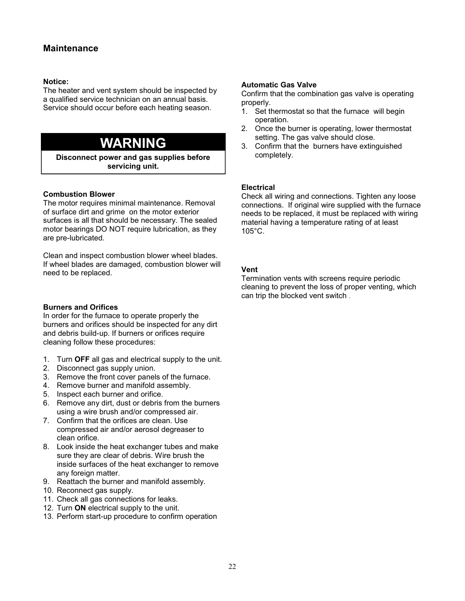#### **Maintenance**

#### **Notice:**

The heater and vent system should be inspected by a qualified service technician on an annual basis. Service should occur before each heating season.

## **WARNING**

**Disconnect power and gas supplies before servicing unit.**

#### **Combustion Blower**

The motor requires minimal maintenance. Removal of surface dirt and grime on the motor exterior surfaces is all that should be necessary. The sealed motor bearings DO NOT require lubrication, as they are pre-lubricated.

Clean and inspect combustion blower wheel blades. If wheel blades are damaged, combustion blower will need to be replaced.

#### **Burners and Orifices**

In order for the furnace to operate properly the burners and orifices should be inspected for any dirt and debris build-up. If burners or orifices require cleaning follow these procedures:

- 1. Turn **OFF** all gas and electrical supply to the unit.
- 2. Disconnect gas supply union.
- 3. Remove the front cover panels of the furnace.
- 4. Remove burner and manifold assembly.
- 5. Inspect each burner and orifice.
- 6. Remove any dirt, dust or debris from the burners using a wire brush and/or compressed air.
- 7. Confirm that the orifices are clean. Use compressed air and/or aerosol degreaser to clean orifice.
- 8. Look inside the heat exchanger tubes and make sure they are clear of debris. Wire brush the inside surfaces of the heat exchanger to remove any foreign matter.
- 9. Reattach the burner and manifold assembly.
- 10. Reconnect gas supply.
- 11. Check all gas connections for leaks.
- 12. Turn **ON** electrical supply to the unit.
- 13. Perform start-up procedure to confirm operation

#### **Automatic Gas Valve**

Confirm that the combination gas valve is operating properly.

- 1. Set thermostat so that the furnace will begin operation.
- 2. Once the burner is operating, lower thermostat setting. The gas valve should close.
- 3. Confirm that the burners have extinguished completely.

#### **Electrical**

Check all wiring and connections. Tighten any loose connections. If original wire supplied with the furnace needs to be replaced, it must be replaced with wiring material having a temperature rating of at least 105°C.

#### **Vent**

Termination vents with screens require periodic cleaning to prevent the loss of proper venting, which can trip the blocked vent switch .